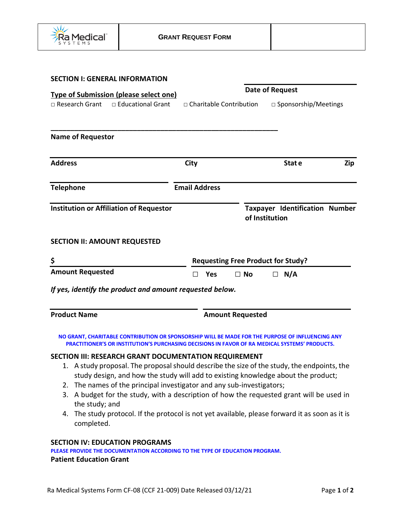

| <b>Date of Request</b>                                                     |           |                                                          |                                                         |
|----------------------------------------------------------------------------|-----------|----------------------------------------------------------|---------------------------------------------------------|
| <b>Type of Submission (please select one)</b><br>□ Charitable Contribution |           | □ Sponsorship/Meetings                                   |                                                         |
|                                                                            |           |                                                          |                                                         |
| City                                                                       |           | Stat e                                                   | Zip                                                     |
| <b>Email Address</b>                                                       |           |                                                          |                                                         |
|                                                                            |           |                                                          |                                                         |
|                                                                            |           |                                                          |                                                         |
| <b>Requesting Free Product for Study?</b>                                  |           |                                                          |                                                         |
| <b>Yes</b><br>П                                                            | $\Box$ No | N/A<br>$\Box$                                            |                                                         |
|                                                                            |           |                                                          |                                                         |
| <b>Product Name</b><br><b>Amount Requested</b>                             |           |                                                          |                                                         |
|                                                                            |           | If yes, identify the product and amount requested below. | <b>Taxpayer Identification Number</b><br>of Institution |

#### **SECTION III: RESEARCH GRANT DOCUMENTATION REQUIREMENT**

- 1. A study proposal. The proposal should describe the size of the study, the endpoints, the study design, and how the study will add to existing knowledge about the product;
- 2. The names of the principal investigator and any sub-investigators;
- 3. A budget for the study, with a description of how the requested grant will be used in the study; and
- 4. The study protocol. If the protocol is not yet available, please forward it as soon as it is completed.

#### **SECTION IV: EDUCATION PROGRAMS**

**PLEASE PROVIDE THE DOCUMENTATION ACCORDING TO THE TYPE OF EDUCATION PROGRAM.**

# **Patient Education Grant**